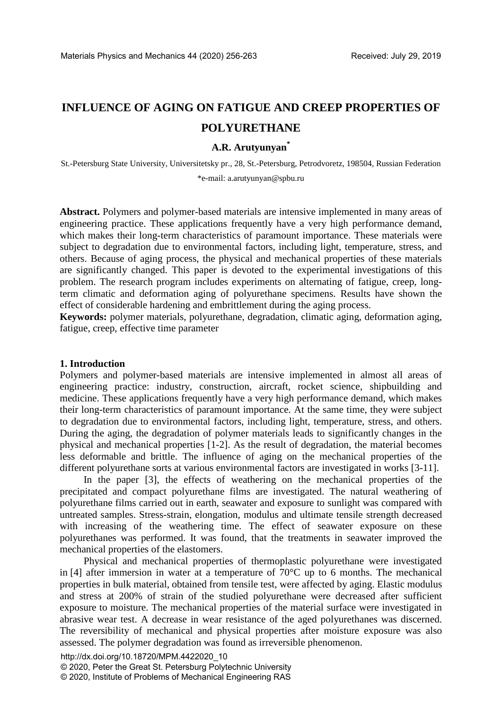# **INFLUENCE OF AGING ON FATIGUE AND CREEP PROPERTIES OF POLYURETHANE**

## **A.R. Arutyunyan\***

St.-Petersburg State University, Universitetsky pr., 28, St.-Petersburg, Petrodvoretz, 198504, Russian Federation \*e-mail: a.arutyunyan@spbu.ru

**Abstract.** Polymers and polymer-based materials are intensive implemented in many areas of engineering practice. These applications frequently have a very high performance demand, which makes their long-term characteristics of paramount importance. These materials were subject to degradation due to environmental factors, including light, temperature, stress, and others. Because of aging process, the physical and mechanical properties of these materials are significantly changed. This paper is devoted to the experimental investigations of this problem. The research program includes experiments on alternating of fatigue, creep, longterm climatic and deformation aging of polyurethane specimens. Results have shown the effect of considerable hardening and embrittlement during the aging process.

**Keywords:** polymer materials, polyurethane, degradation, climatic aging, deformation aging, fatigue, creep, effective time parameter

## **1. Introduction**

Polymers and polymer-based materials are intensive implemented in almost all areas of engineering practice: industry, construction, aircraft, rocket science, shipbuilding and medicine. These applications frequently have a very high performance demand, which makes their long-term characteristics of paramount importance. At the same time, they were subject to degradation due to environmental factors, including light, temperature, stress, and others. During the aging, the degradation of polymer materials leads to significantly changes in the physical and mechanical properties [1-2]. As the result of degradation, the material becomes less deformable and brittle. The influence of aging on the mechanical properties of the different polyurethane sorts at various environmental factors are investigated in works [3-11].

In the paper [3], the effects of weathering on the mechanical properties of the precipitated and compact polyurethane films are investigated. The natural weathering of polyurethane films carried out in earth, seawater and exposure to sunlight was compared with untreated samples. Stress-strain, elongation, modulus and ultimate tensile strength decreased with increasing of the weathering time. The effect of seawater exposure on these polyurethanes was performed. It was found, that the treatments in seawater improved the mechanical properties of the elastomers.

Physical and mechanical properties of thermoplastic polyurethane were investigated in [4] after immersion in water at a temperature of 70°C up to 6 months. The mechanical properties in bulk material, obtained from tensile test, were affected by aging. Elastic modulus and stress at 200% of strain of the studied polyurethane were decreased after sufficient exposure to moisture. The mechanical properties of the material surface were investigated in abrasive wear test. A decrease in wear resistance of the aged polyurethanes was discerned. The reversibility of mechanical and physical properties after moisture exposure was also assessed. The polymer degradation was found as irreversible phenomenon.

http://dx.doi.org/10.18720/MPM.4422020\_10 © 2020, Peter the Great St. Petersburg Polytechnic University © 2020, Institute of Problems of Mechanical Engineering RAS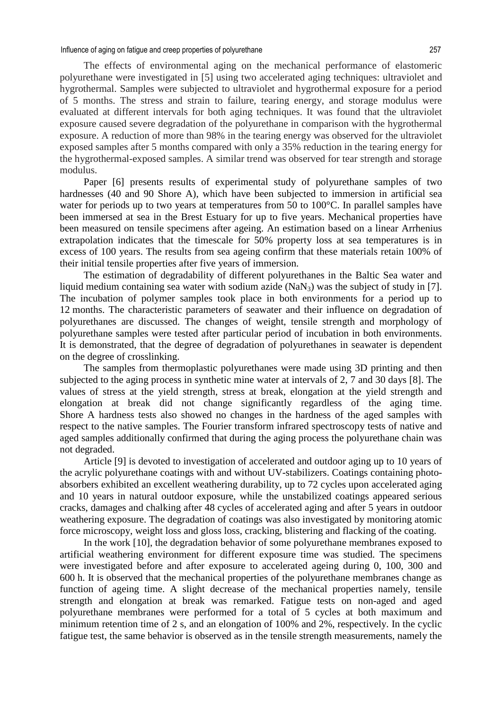Influence of aging on fatigue and creep properties of polyurethane 257

The effects of environmental aging on the mechanical performance of elastomeric polyurethane were investigated in [5] using two accelerated aging techniques: ultraviolet and hygrothermal. Samples were subjected to ultraviolet and hygrothermal exposure for a period of 5 months. The stress and strain to failure, tearing energy, and storage modulus were evaluated at different intervals for both aging techniques. It was found that the ultraviolet exposure caused severe degradation of the polyurethane in comparison with the hygrothermal exposure. A reduction of more than 98% in the tearing energy was observed for the ultraviolet exposed samples after 5 months compared with only a 35% reduction in the tearing energy for the hygrothermal-exposed samples. A similar trend was observed for tear strength and storage modulus.

Paper [6] presents results of experimental study of polyurethane samples of two hardnesses (40 and 90 Shore A), which have been subjected to immersion in artificial sea water for periods up to two years at temperatures from 50 to 100 °C. In parallel samples have been immersed at sea in the Brest Estuary for up to five years. Mechanical properties have been measured on tensile specimens after ageing. An estimation based on a linear Arrhenius extrapolation indicates that the timescale for 50% property loss at sea temperatures is in excess of 100 years. The results from sea ageing confirm that these materials retain 100% of their initial tensile properties after five years of immersion.

The estimation of degradability of different polyurethanes in the Baltic Sea water and liquid medium containing sea water with sodium azide  $(NaN<sub>3</sub>)$  was the subject of study in [7]. The incubation of polymer samples took place in both environments for a period up to 12 months. The characteristic parameters of seawater and their influence on degradation of polyurethanes are discussed. The changes of weight, tensile strength and morphology of polyurethane samples were tested after particular period of incubation in both environments. It is demonstrated, that the degree of degradation of polyurethanes in seawater is dependent on the degree of crosslinking.

The samples from thermoplastic polyurethanes were made using 3D printing and then subjected to the aging process in synthetic mine water at intervals of 2, 7 and 30 days [8]. The values of stress at the yield strength, stress at break, elongation at the yield strength and elongation at break did not change significantly regardless of the aging time. Shore A hardness tests also showed no changes in the hardness of the aged samples with respect to the native samples. The Fourier transform infrared spectroscopy tests of native and aged samples additionally confirmed that during the aging process the polyurethane chain was not degraded.

Article [9] is devoted to investigation of accelerated and outdoor aging up to 10 years of the acrylic polyurethane coatings with and without UV-stabilizers. Coatings containing photoabsorbers exhibited an excellent weathering durability, up to 72 cycles upon accelerated aging and 10 years in natural outdoor exposure, while the unstabilized coatings appeared serious cracks, damages and chalking after 48 cycles of accelerated aging and after 5 years in outdoor weathering exposure. The degradation of coatings was also investigated by monitoring atomic force microscopy, weight loss and gloss loss, cracking, blistering and flacking of the coating.

In the work [10], the degradation behavior of some polyurethane membranes exposed to artificial weathering environment for different exposure time was studied. The specimens were investigated before and after exposure to accelerated ageing during 0, 100, 300 and 600 h. It is observed that the mechanical properties of the polyurethane membranes change as function of ageing time. A slight decrease of the mechanical properties namely, tensile strength and elongation at break was remarked. Fatigue tests on non-aged and aged polyurethane membranes were performed for a total of 5 cycles at both maximum and minimum retention time of 2 s, and an elongation of 100% and 2%, respectively. In the cyclic fatigue test, the same behavior is observed as in the tensile strength measurements, namely the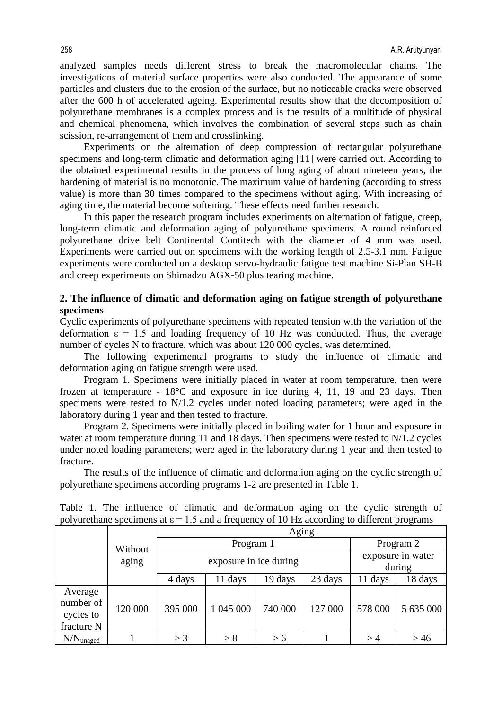analyzed samples needs different stress to break the macromolecular chains. The investigations of material surface properties were also conducted. The appearance of some particles and clusters due to the erosion of the surface, but no noticeable cracks were observed after the 600 h of accelerated ageing. Experimental results show that the decomposition of polyurethane membranes is a complex process and is the results of a multitude of physical and chemical phenomena, which involves the combination of several steps such as chain scission, re-arrangement of them and crosslinking.

Experiments on the alternation of deep compression of rectangular polyurethane specimens and long-term climatic and deformation aging [11] were carried out. According to the obtained experimental results in the process of long aging of about nineteen years, the hardening of material is no monotonic. The maximum value of hardening (according to stress value) is more than 30 times compared to the specimens without aging. With increasing of aging time, the material become softening. These effects need further research.

In this paper the research program includes experiments on alternation of fatigue, creep, long-term climatic and deformation aging of polyurethane specimens. A round reinforced polyurethane drive belt Continental Contitech with the diameter of 4 mm was used. Experiments were carried out on specimens with the working length of 2.5-3.1 mm. Fatigue experiments were conducted on a desktop servo-hydraulic fatigue test machine Si-Plan SH-B and creep experiments on Shimadzu AGX-50 plus tearing machine.

# **2. The influence of climatic and deformation aging on fatigue strength of polyurethane specimens**

Cyclic experiments of polyurethane specimens with repeated tension with the variation of the deformation  $\epsilon$  = 1.5 and loading frequency of 10 Hz was conducted. Thus, the average number of cycles N to fracture, which was about 120 000 cycles, was determined.

The following experimental programs to study the influence of climatic and deformation aging on fatigue strength were used.

Program 1. Specimens were initially placed in water at room temperature, then were frozen at temperature - 18°C and exposure in ice during 4, 11, 19 and 23 days. Then specimens were tested to N/1.2 cycles under noted loading parameters; were aged in the laboratory during 1 year and then tested to fracture.

Program 2. Specimens were initially placed in boiling water for 1 hour and exposure in water at room temperature during 11 and 18 days. Then specimens were tested to N/1.2 cycles under noted loading parameters; were aged in the laboratory during 1 year and then tested to fracture.

The results of the influence of climatic and deformation aging on the cyclic strength of polyurethane specimens according programs 1-2 are presented in Table 1.

|                                                 | Without<br>aging | Aging                  |           |         |         |                   |           |
|-------------------------------------------------|------------------|------------------------|-----------|---------|---------|-------------------|-----------|
|                                                 |                  | Program 1              |           |         |         | Program 2         |           |
|                                                 |                  | exposure in ice during |           |         |         | exposure in water |           |
|                                                 |                  |                        |           |         |         | during            |           |
|                                                 |                  | 4 days                 | 11 days   | 19 days | 23 days | 11 days           | 18 days   |
| Average<br>number of<br>cycles to<br>fracture N | 120 000          | 395 000                | 1 045 000 | 740 000 | 127 000 | 578 000           | 5 635 000 |
| $N/N_{\text{unaged}}$                           |                  | $>$ 3                  | > 8       | > 6     |         | >4                | >46       |

Table 1. The influence of climatic and deformation aging on the cyclic strength of polyurethane specimens at  $\varepsilon = 1.5$  and a frequency of 10 Hz according to different programs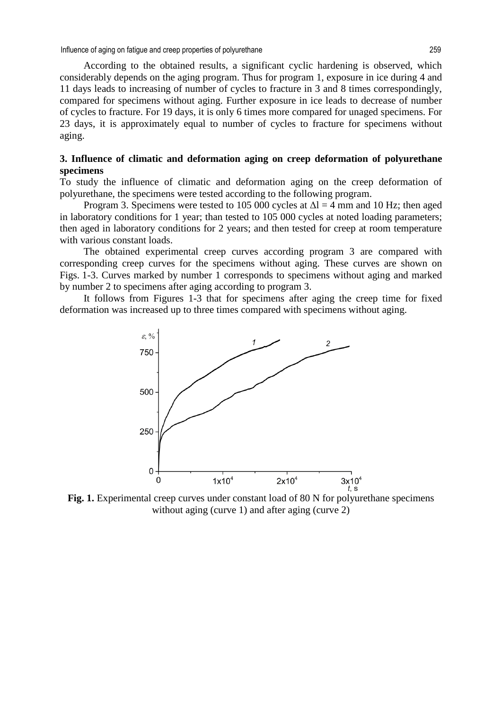Influence of aging on fatigue and creep properties of polyurethane 259

According to the obtained results, a significant cyclic hardening is observed, which considerably depends on the aging program. Thus for program 1, exposure in ice during 4 and 11 days leads to increasing of number of cycles to fracture in 3 and 8 times correspondingly, compared for specimens without aging. Further exposure in ice leads to decrease of number of cycles to fracture. For 19 days, it is only 6 times more compared for unaged specimens. For 23 days, it is approximately equal to number of cycles to fracture for specimens without aging.

## **3. Influence of climatic and deformation aging on creep deformation of polyurethane specimens**

To study the influence of climatic and deformation aging on the creep deformation of polyurethane, the specimens were tested according to the following program.

Program 3. Specimens were tested to 105 000 cycles at  $\Delta l = 4$  mm and 10 Hz; then aged in laboratory conditions for 1 year; than tested to 105 000 cycles at noted loading parameters; then aged in laboratory conditions for 2 years; and then tested for creep at room temperature with various constant loads.

The obtained experimental creep curves according program 3 are compared with corresponding creep curves for the specimens without aging. These curves are shown on Figs. 1-3. Curves marked by number 1 corresponds to specimens without aging and marked by number 2 to specimens after aging according to program 3.

It follows from Figures 1-3 that for specimens after aging the creep time for fixed deformation was increased up to three times compared with specimens without aging.



**Fig. 1.** Experimental creep curves under constant load of 80 N for polyurethane specimens without aging (curve 1) and after aging (curve 2)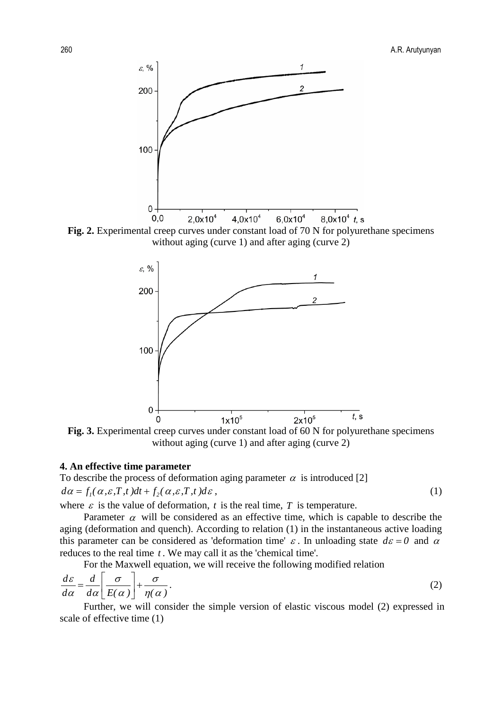





**Fig. 3.** Experimental creep curves under constant load of 60 N for polyurethane specimens without aging (curve 1) and after aging (curve 2)

### **4. An effective time parameter**

To describe the process of deformation aging parameter  $\alpha$  is introduced [2]  $d\alpha = f_1(\alpha, \varepsilon, T, t)dt + f_2(\alpha, \varepsilon, T, t)d\varepsilon,$  (1)

where  $\varepsilon$  is the value of deformation,  $t$  is the real time,  $T$  is temperature.

Parameter  $\alpha$  will be considered as an effective time, which is capable to describe the aging (deformation and quench). According to relation (1) in the instantaneous active loading this parameter can be considered as 'deformation time'  $\varepsilon$ . In unloading state  $d\varepsilon = 0$  and  $\alpha$ reduces to the real time *t* . We may call it as the 'chemical time'.

For the Maxwell equation, we will receive the following modified relation

$$
\frac{d\varepsilon}{d\alpha} = \frac{d}{d\alpha} \left[ \frac{\sigma}{E(\alpha)} \right] + \frac{\sigma}{\eta(\alpha)}.
$$
\n(2)

Further, we will consider the simple version of elastic viscous model (2) expressed in scale of effective time (1)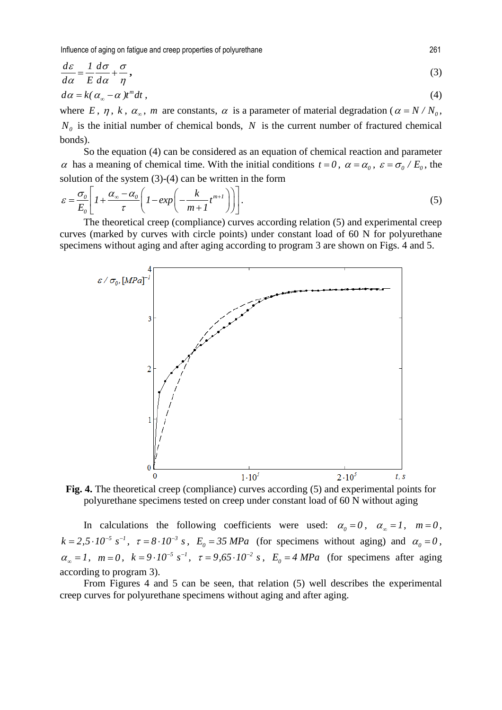Influence of aging on fatigue and creep properties of polyurethane 261

$$
\frac{d\varepsilon}{d\alpha} = \frac{1}{E} \frac{d\sigma}{d\alpha} + \frac{\sigma}{\eta},
$$
\n
$$
d\alpha = k(\alpha_{\infty} - \alpha)t^{m}dt,
$$
\n(3)

where *E*,  $\eta$ , *k*,  $\alpha_{\infty}$ , *m* are constants,  $\alpha$  is a parameter of material degradation ( $\alpha = N/N_0$ ,  $N_0$  is the initial number of chemical bonds, *N* is the current number of fractured chemical bonds).

So the equation (4) can be considered as an equation of chemical reaction and parameter α has a meaning of chemical time. With the initial conditions  $t = 0$ ,  $\alpha = \alpha_0$ ,  $\varepsilon = \frac{\sigma_0}{E_0}$ , the solution of the system (3)-(4) can be written in the form

$$
\varepsilon = \frac{\sigma_0}{E_0} \left[ 1 + \frac{\alpha_\infty - \alpha_0}{\tau} \left( 1 - \exp\left( - \frac{k}{m+1} t^{m+1} \right) \right) \right].
$$
 (5)

The theoretical creep (compliance) curves according relation (5) and experimental creep curves (marked by curves with circle points) under constant load of 60 N for polyurethane specimens without aging and after aging according to program 3 are shown on Figs. 4 and 5.



**Fig. 4.** The theoretical creep (compliance) curves according (5) and experimental points for polyurethane specimens tested on creep under constant load of 60 N without aging

In calculations the following coefficients were used:  $\alpha_0 = 0$ ,  $\alpha_{\infty} = 1$ ,  $m = 0$ ,  $k = 2.5 \cdot 10^{-5} \text{ s}^{-1}$ ,  $\tau = 8 \cdot 10^{-3} \text{ s}$ ,  $E_0 = 35 \text{ MPa}$  (for specimens without aging) and  $\alpha_0 = 0$ ,  $\alpha_{\infty} = 1$ ,  $m = 0$ ,  $k = 9 \cdot 10^{-5}$  s<sup>-1</sup>,  $\tau = 9.65 \cdot 10^{-2}$  s,  $E_0 = 4$  *MPa* (for specimens after aging according to program 3).

From Figures 4 and 5 can be seen, that relation (5) well describes the experimental creep curves for polyurethane specimens without aging and after aging.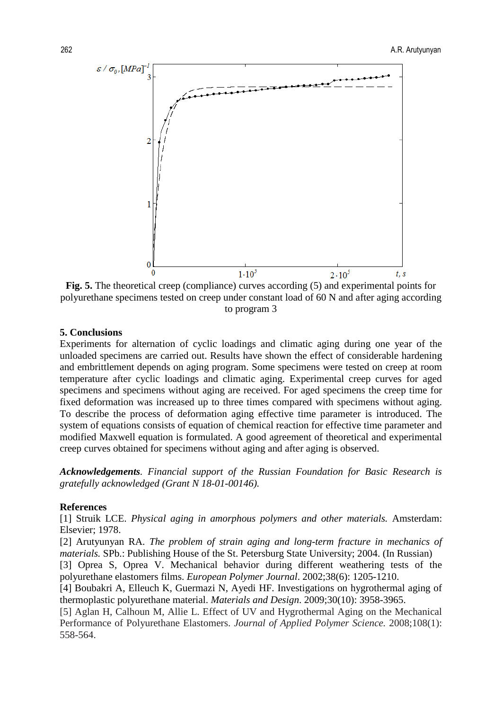

**Fig. 5.** The theoretical creep (compliance) curves according (5) and experimental points for polyurethane specimens tested on creep under constant load of 60 N and after aging according to program 3

### **5. Conclusions**

Experiments for alternation of cyclic loadings and climatic aging during one year of the unloaded specimens are carried out. Results have shown the effect of considerable hardening and embrittlement depends on aging program. Some specimens were tested on creep at room temperature after cyclic loadings and climatic aging. Experimental creep curves for aged specimens and specimens without aging are received. For aged specimens the creep time for fixed deformation was increased up to three times compared with specimens without aging. To describe the process of deformation aging effective time parameter is introduced. The system of equations consists of equation of chemical reaction for effective time parameter and modified Maxwell equation is formulated. A good agreement of theoretical and experimental creep curves obtained for specimens without aging and after aging is observed.

*Acknowledgements. Financial support of the Russian Foundation for Basic Research is gratefully acknowledged (Grant N 18-01-00146).* 

#### **References**

[1] Struik LCE. *Physical aging in amorphous polymers and other materials.* Amsterdam: Elsevier; 1978.

[2] Arutyunyan RA. *The problem of strain aging and long-term fracture in mechanics of materials.* SPb.: Publishing House of the St. Petersburg State University; 2004. (In Russian)

[3] Oprea S, Oprea V. Mechanical behavior during different weathering tests of the polyurethane elastomers films. *European Polymer Journal*. 2002;38(6): 1205-1210.

[4] Boubakri A, Elleuch K, Guermazi N, Ayedi HF. Investigations on hygrothermal aging of thermoplastic polyurethane material. *Materials and Design*. 2009;30(10): 3958-3965.

[5] Aglan H, Calhoun M, Allie L. Effect of UV and Hygrothermal Aging on the Mechanical Performance of Polyurethane Elastomers. *Journal of Applied Polymer Science.* 2008;108(1): 558-564.